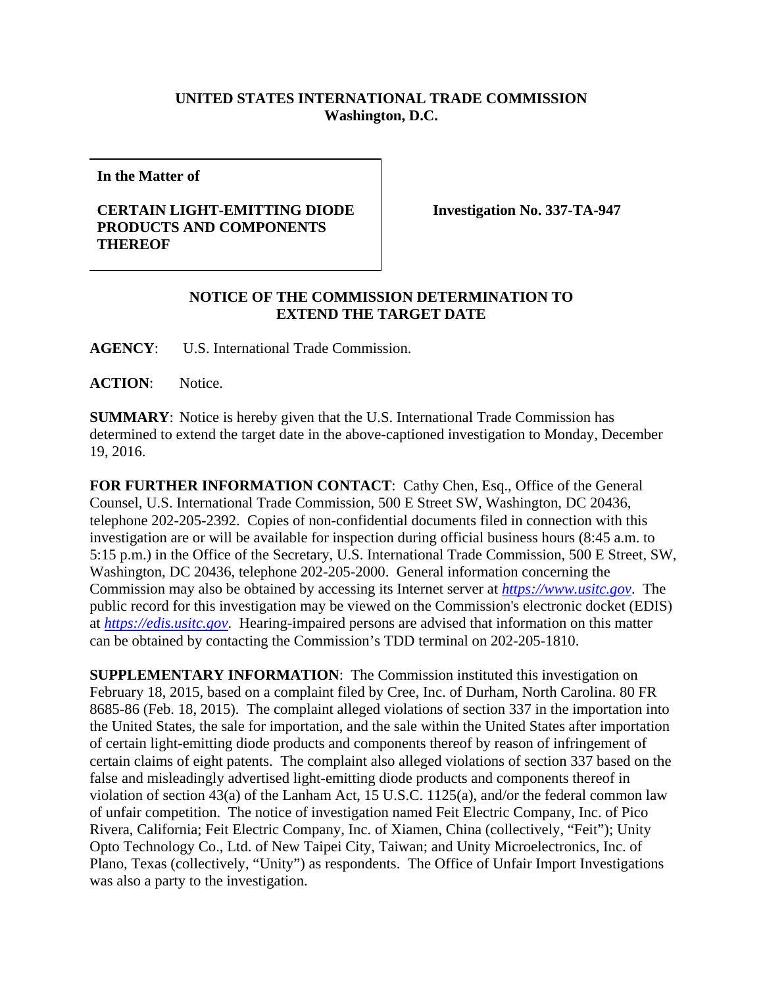## **UNITED STATES INTERNATIONAL TRADE COMMISSION Washington, D.C.**

**In the Matter of** 

## **CERTAIN LIGHT-EMITTING DIODE PRODUCTS AND COMPONENTS THEREOF**

**Investigation No. 337-TA-947** 

## **NOTICE OF THE COMMISSION DETERMINATION TO EXTEND THE TARGET DATE**

**AGENCY**: U.S. International Trade Commission.

**ACTION**: Notice.

**SUMMARY**: Notice is hereby given that the U.S. International Trade Commission has determined to extend the target date in the above-captioned investigation to Monday, December 19, 2016.

FOR FURTHER INFORMATION CONTACT: Cathy Chen, Esq., Office of the General Counsel, U.S. International Trade Commission, 500 E Street SW, Washington, DC 20436, telephone 202-205-2392. Copies of non-confidential documents filed in connection with this investigation are or will be available for inspection during official business hours (8:45 a.m. to 5:15 p.m.) in the Office of the Secretary, U.S. International Trade Commission, 500 E Street, SW, Washington, DC 20436, telephone 202-205-2000. General information concerning the Commission may also be obtained by accessing its Internet server at *https://www.usitc.gov*. The public record for this investigation may be viewed on the Commission's electronic docket (EDIS) at *https://edis.usitc.gov*. Hearing-impaired persons are advised that information on this matter can be obtained by contacting the Commission's TDD terminal on 202-205-1810.

**SUPPLEMENTARY INFORMATION:** The Commission instituted this investigation on February 18, 2015, based on a complaint filed by Cree, Inc. of Durham, North Carolina. 80 FR 8685-86 (Feb. 18, 2015). The complaint alleged violations of section 337 in the importation into the United States, the sale for importation, and the sale within the United States after importation of certain light-emitting diode products and components thereof by reason of infringement of certain claims of eight patents. The complaint also alleged violations of section 337 based on the false and misleadingly advertised light-emitting diode products and components thereof in violation of section 43(a) of the Lanham Act, 15 U.S.C. 1125(a), and/or the federal common law of unfair competition. The notice of investigation named Feit Electric Company, Inc. of Pico Rivera, California; Feit Electric Company, Inc. of Xiamen, China (collectively, "Feit"); Unity Opto Technology Co., Ltd. of New Taipei City, Taiwan; and Unity Microelectronics, Inc. of Plano, Texas (collectively, "Unity") as respondents. The Office of Unfair Import Investigations was also a party to the investigation.